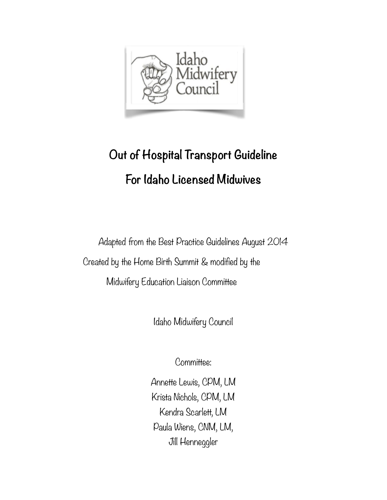

# **Out of Hospital Transport Guideline For Idaho Licensed Midwives**

Adapted from the Best Practice Guidelines August 2014 Created by the Home Birth Summit & modified by the Midwifery Education Liaison Committee

Idaho Midwifery Council

Committee:

Annette Lewis, CPM, LM Krista Nichols, CPM, LM Kendra Scarlett, LM Paula Wiens, CNM, LM, Jill Henneggler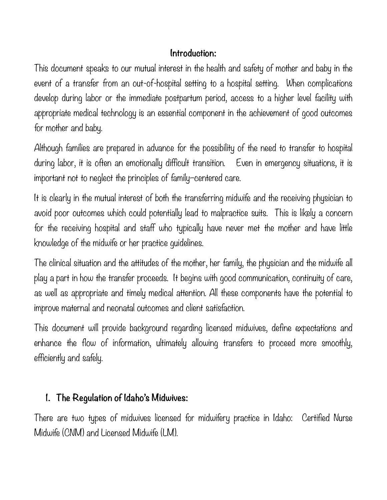### **Introduction:**

This document speaks to our mutual interest in the health and safety of mother and baby in the event of a transfer from an out-of-hospital setting to a hospital setting. When complications develop during labor or the immediate postpartum period, access to a higher level facility with appropriate medical technology is an essential component in the achievement of good outcomes for mother and baby.

Although families are prepared in advance for the possibility of the need to transfer to hospital during labor, it is often an emotionally difficult transition. Even in emergency situations, it is important not to neglect the principles of family–centered care.

It is clearly in the mutual interest of both the transferring midwife and the receiving physician to avoid poor outcomes which could potentially lead to malpractice suits. This is likely a concern for the receiving hospital and staff who typically have never met the mother and have little knowledge of the midwife or her practice guidelines.

The clinical situation and the attitudes of the mother, her family, the physician and the midwife all play a part in how the transfer proceeds. It begins with good communication, continuity of care, as well as appropriate and timely medical attention. All these components have the potential to improve maternal and neonatal outcomes and client satisfaction.

This document will provide background regarding licensed midwives, define expectations and enhance the flow of information, ultimately allowing transfers to proceed more smoothly, efficiently and safely.

# **1. The Regulation of Idaho's Midwives:**

There are two types of midwives licensed for midwifery practice in Idaho: Certified Nurse Midwife (CNM) and Licensed Midwife (LM).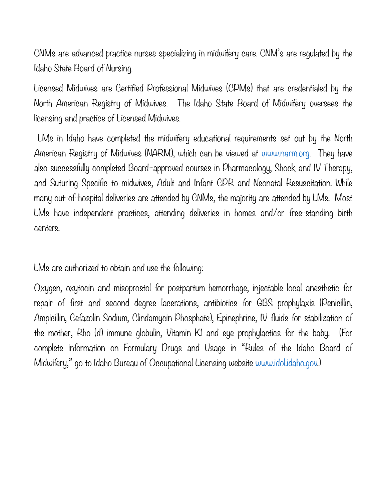CNMs are advanced practice nurses specializing in midwifery care. CNM's are regulated by the Idaho State Board of Nursing.

Licensed Midwives are Certified Professional Midwives (CPMs) that are credentialed by the North American Registry of Midwives. The Idaho State Board of Midwifery oversees the licensing and practice of Licensed Midwives.

 LMs in Idaho have completed the midwifery educational requirements set out by the North American Registry of Midwives (NARM), which can be viewed at [www.narm.org.](http://www.narm.org) They have also successfully completed Board–approved courses in Pharmacology, Shock and IV Therapy, and Suturing Specific to midwives, Adult and Infant CPR and Neonatal Resuscitation. While many out-of-hospital deliveries are attended by CNMs, the majority are attended by LMs. Most LMs have independent practices, attending deliveries in homes and/or free-standing birth centers.

LMs are authorized to obtain and use the following:

Oxygen, oxytocin and misoprostol for postpartum hemorrhage, injectable local anesthetic for repair of first and second degree lacerations, antibiotics for GBS prophylaxis (Penicillin, Ampicillin, Cefazolin Sodium, Clindamycin Phosphate), Epinephrine, IV fluids for stabilization of the mother, Rho (d) immune globulin, Vitamin K1 and eye prophylactics for the baby. (For complete information on Formulary Drugs and Usage in "Rules of the Idaho Board of Midwifery," go to Idaho Bureau of Occupational Licensing website [www.idol.idaho.gov](http://www.idol.idaho.gov).)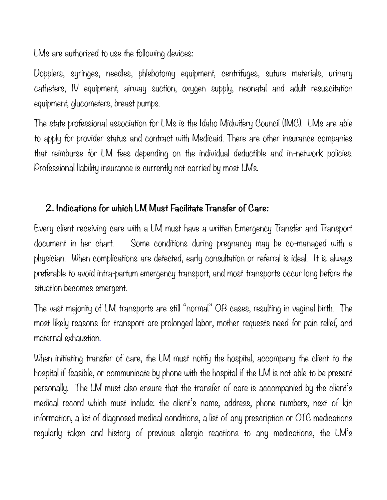LMs are authorized to use the following devices:

Dopplers, syringes, needles, phlebotomy equipment, centrifuges, suture materials, urinary catheters, IV equipment, airway suction, oxygen supply, neonatal and adult resuscitation equipment, glucometers, breast pumps.

The state professional association for LMs is the Idaho Midwifery Council (IMC). LMs are able to apply for provider status and contract with Medicaid. There are other insurance companies that reimburse for LM fees depending on the individual deductible and in-network policies. Professional liability insurance is currently not carried by most LMs.

#### **2. Indications for which LM Must Facilitate Transfer of Care:**

Every client receiving care with a LM must have a written Emergency Transfer and Transport document in her chart. Some conditions during pregnancy may be co-managed with a physician. When complications are detected, early consultation or referral is ideal. It is always preferable to avoid intra-partum emergency transport, and most transports occur long before the situation becomes emergent.

The vast majority of LM transports are still "normal" OB cases, resulting in vaginal birth. The most likely reasons for transport are prolonged labor, mother requests need for pain relief, and maternal exhaustion.

When initiating transfer of care, the LM must notify the hospital, accompany the client to the hospital if feasible, or communicate by phone with the hospital if the LM is not able to be present personally. The LM must also ensure that the transfer of care is accompanied by the client's medical record which must include: the client's name, address, phone numbers, next of kin information, a list of diagnosed medical conditions, a list of any prescription or OTC medications regularly taken and history of previous allergic reactions to any medications, the LM's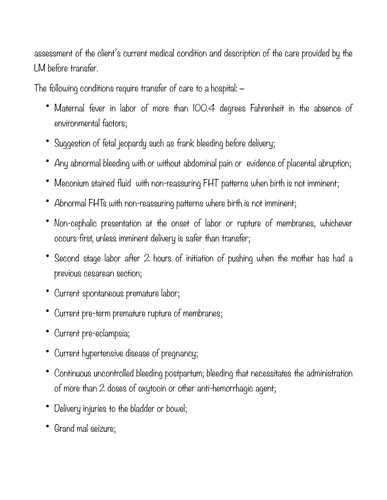assessment of the client's current medical condition and description of the care provided by the LM before transfer.

The following conditions require transfer of care to a hospital:

- Maternal fever in labor of more than IOO.4 degrees Fahrenheit in the absence of environmental factors;
- Suggestion of fetal jeopardy such as frank bleeding before delivery;
- Any abnormal bleeding with or without abdominal pain or evidence of placental abruption;
- Meconium stained fluid with non-reassuring FHT patterns when birth is not imminent;
- Abnormal FHTs with non-reassuring patterns where birth is not imminent;
- Non-cephalic presentation at the onset of labor or rupture of membranes, whichever occurs first, unless imminent delivery is safer than transfer;
- Second stage labor after 2 hours of initiation of pushing when the mother has had a previous cesarean section;
- Current spontaneous premature labor;
- Current pre-term premature rupture of membranes;
- Current pre-eclampsia;
- Current hypertensive disease of pregnancy;
- Continuous uncontrolled bleeding postpartum; bleeding that necessitates the administration of more than 2 doses of oxytocin or other anti-hemorrhagic agent;
- Delivery injuries to the bladder or bowel;
- Grand mal seizure;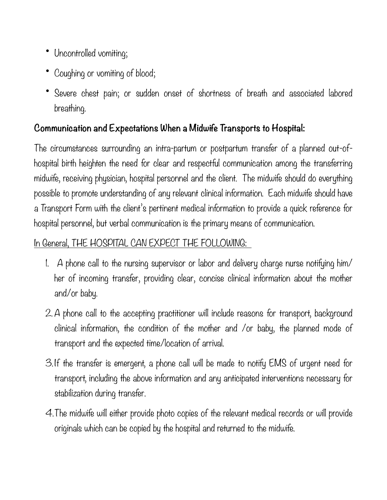- Uncontrolled vomiting;
- Coughing or vomiting of blood;
- Severe chest pain; or sudden onset of shortness of breath and associated labored breathing.

## **Communication and Expectations When a Midwife Transports to Hospital:**

The circumstances surrounding an intra-partum or postpartum transfer of a planned out-ofhospital birth heighten the need for clear and respectful communication among the transferring midwife, receiving physician, hospital personnel and the client. The midwife should do everything possible to promote understanding of any relevant clinical information. Each midwife should have a Transport Form with the client's pertinent medical information to provide a quick reference for hospital personnel, but verbal communication is the primary means of communication.

# In General, THE HOSPITAL CAN EXPECT THE FOLLOWING:

- 1. A phone call to the nursing supervisor or labor and delivery charge nurse notifying him/ her of incoming transfer, providing clear, concise clinical information about the mother and/or baby.
- 2. A phone call to the accepting practitioner will include reasons for transport, background clinical information, the condition of the mother and /or baby, the planned mode of transport and the expected time/location of arrival.
- 3. If the transfer is emergent, a phone call will be made to notify EMS of urgent need for transport, including the above information and any anticipated interventions necessary for stabilization during transfer.
- 4.The midwife will either provide photo copies of the relevant medical records or will provide originals which can be copied by the hospital and returned to the midwife.